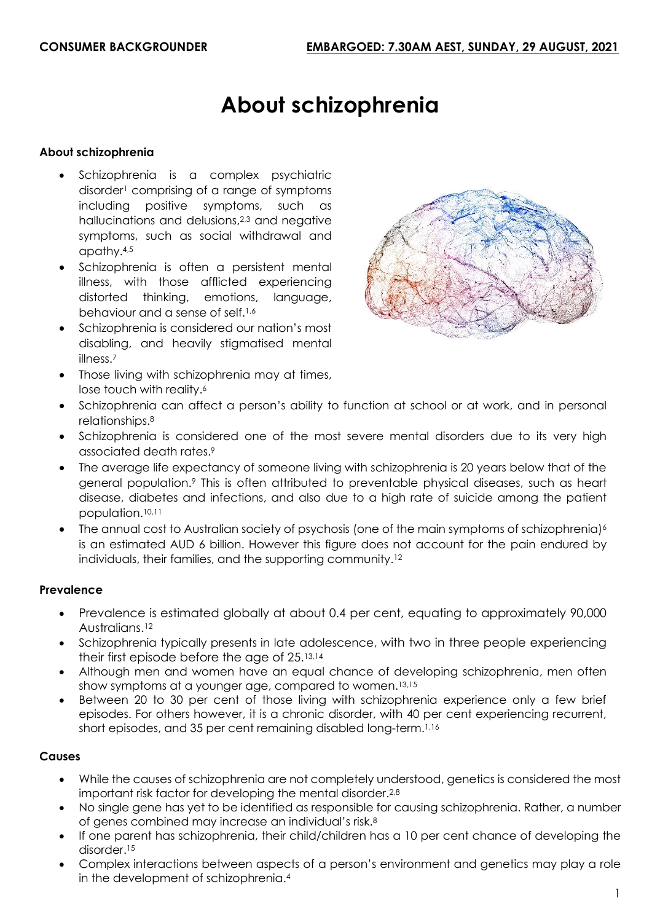# **About schizophrenia**

#### **About schizophrenia**

- Schizophrenia is a complex psychiatric disorder<sup>1</sup> comprising of a range of symptoms including positive symptoms, such as hallucinations and delusions,2,3 and negative symptoms, such as social withdrawal and apathy.4,5
- Schizophrenia is often a persistent mental illness, with those afflicted experiencing distorted thinking, emotions, language, behaviour and a sense of self.1,6
- Schizophrenia is considered our nation's most disabling, and heavily stigmatised mental illness.<sup>7</sup>
- Those living with schizophrenia may at times, lose touch with reality.<sup>6</sup>



- Schizophrenia can affect a person's ability to function at school or at work, and in personal relationships.<sup>8</sup>
- Schizophrenia is considered one of the most severe mental disorders due to its very high associated death rates.<sup>9</sup>
- The average life expectancy of someone living with schizophrenia is 20 years below that of the general population.<sup>9</sup> This is often attributed to preventable physical diseases, such as heart disease, diabetes and infections, and also due to a high rate of suicide among the patient population. 10,11
- The annual cost to Australian society of psychosis (one of the main symptoms of schizophrenia)<sup>6</sup> is an estimated AUD 6 billion. However this figure does not account for the pain endured by individuals, their families, and the supporting community.<sup>12</sup>

#### **Prevalence**

- Prevalence is estimated globally at about 0.4 per cent, equating to approximately 90,000 Australians.<sup>12</sup>
- Schizophrenia typically presents in late adolescence, with two in three people experiencing their first episode before the age of 25.13,14
- Although men and women have an equal chance of developing schizophrenia, men often show symptoms at a younger age, compared to women.13,15
- Between 20 to 30 per cent of those living with schizophrenia experience only a few brief episodes. For others however, it is a chronic disorder, with 40 per cent experiencing recurrent, short episodes, and 35 per cent remaining disabled long-term. 1,16

## **Causes**

- While the causes of schizophrenia are not completely understood, genetics is considered the most important risk factor for developing the mental disorder. 2,8
- No single gene has yet to be identified as responsible for causing schizophrenia. Rather, a number of genes combined may increase an individual's risk.<sup>8</sup>
- If one parent has schizophrenia, their child/children has a 10 per cent chance of developing the disorder. 15
- Complex interactions between aspects of a person's environment and genetics may play a role in the development of schizophrenia.4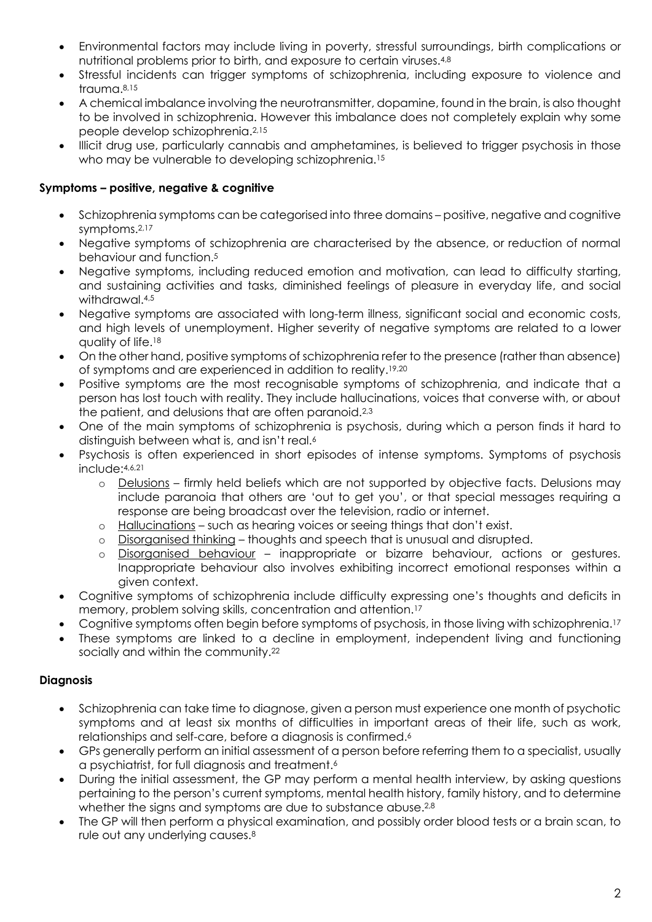- Environmental factors may include living in poverty, stressful surroundings, birth complications or nutritional problems prior to birth, and exposure to certain viruses.4,8
- Stressful incidents can trigger symptoms of schizophrenia, including exposure to violence and trauma. 8,15
- A chemical imbalance involving the neurotransmitter, dopamine, found in the brain, is also thought to be involved in schizophrenia. However this imbalance does not completely explain why some people develop schizophrenia. 2,15
- Illicit drug use, particularly cannabis and amphetamines, is believed to trigger psychosis in those who may be vulnerable to developing schizophrenia.<sup>15</sup>

## **Symptoms – positive, negative & cognitive**

- Schizophrenia symptoms can be categorised into three domains positive, negative and cognitive symptoms.2,17
- Negative symptoms of schizophrenia are characterised by the absence, or reduction of normal behaviour and function. 5
- Negative symptoms, including reduced emotion and motivation, can lead to difficulty starting, and sustaining activities and tasks, diminished feelings of pleasure in everyday life, and social withdrawal.<sup>4,5</sup>
- Negative symptoms are associated with long-term illness, significant social and economic costs, and high levels of unemployment. Higher severity of negative symptoms are related to a lower quality of life.<sup>18</sup>
- On the other hand, positive symptoms of schizophrenia refer to the presence (rather than absence) of symptoms and are experienced in addition to reality. 19,20
- Positive symptoms are the most recognisable symptoms of schizophrenia, and indicate that a person has lost touch with reality. They include hallucinations, voices that converse with, or about the patient, and delusions that are often paranoid.<sup>2,3</sup>
- One of the main symptoms of schizophrenia is psychosis, during which a person finds it hard to distinguish between what is, and isn't real.<sup>6</sup>
- Psychosis is often experienced in short episodes of intense symptoms. Symptoms of psychosis include: 4,6,21
	- o Delusions firmly held beliefs which are not supported by objective facts. Delusions may include paranoia that others are 'out to get you', or that special messages requiring a response are being broadcast over the television, radio or internet.
	- o Hallucinations such as hearing voices or seeing things that don't exist.
	- o Disorganised thinking thoughts and speech that is unusual and disrupted.
	- o Disorganised behaviour inappropriate or bizarre behaviour, actions or gestures. Inappropriate behaviour also involves exhibiting incorrect emotional responses within a given context.
- Cognitive symptoms of schizophrenia include difficulty expressing one's thoughts and deficits in memory, problem solving skills, concentration and attention.<sup>17</sup>
- Cognitive symptoms often begin before symptoms of psychosis, in those living with schizophrenia.<sup>17</sup>
- These symptoms are linked to a decline in employment, independent living and functioning socially and within the community.<sup>22</sup>

## **Diagnosis**

- Schizophrenia can take time to diagnose, given a person must experience one month of psychotic symptoms and at least six months of difficulties in important areas of their life, such as work, relationships and self-care, before a diagnosis is confirmed. 6
- GPs generally perform an initial assessment of a person before referring them to a specialist, usually a psychiatrist, for full diagnosis and treatment. 6
- During the initial assessment, the GP may perform a mental health interview, by asking questions pertaining to the person's current symptoms, mental health history, family history, and to determine whether the signs and symptoms are due to substance abuse.<sup>2,8</sup>
- The GP will then perform a physical examination, and possibly order blood tests or a brain scan, to rule out any underlying causes.8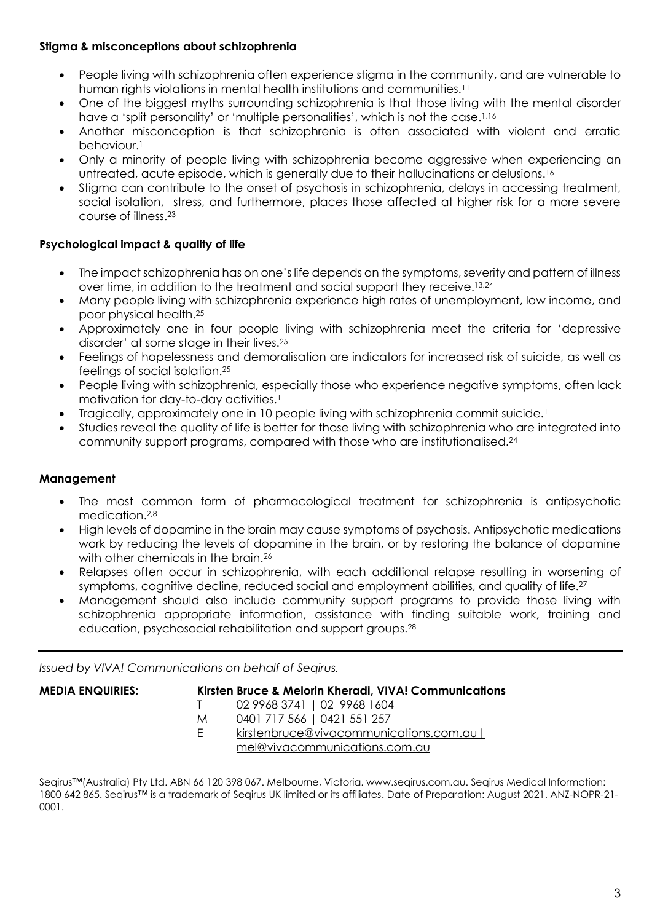# **Stigma & misconceptions about schizophrenia**

- People living with schizophrenia often experience stigma in the community, and are vulnerable to human rights violations in mental health institutions and communities.<sup>11</sup>
- One of the biggest myths surrounding schizophrenia is that those living with the mental disorder have a 'split personality' or 'multiple personalities', which is not the case.<sup>1,16</sup>
- Another misconception is that schizophrenia is often associated with violent and erratic behaviour.<sup>1</sup>
- Only a minority of people living with schizophrenia become aggressive when experiencing an untreated, acute episode, which is generally due to their hallucinations or delusions. 16
- Stigma can contribute to the onset of psychosis in schizophrenia, delays in accessing treatment, social isolation, stress, and furthermore, places those affected at higher risk for a more severe course of illness.<sup>23</sup>

## **Psychological impact & quality of life**

- The impact schizophrenia has on one's life depends on the symptoms, severity and pattern of illness over time, in addition to the treatment and social support they receive.13,24
- Many people living with schizophrenia experience high rates of unemployment, low income, and poor physical health. 25
- Approximately one in four people living with schizophrenia meet the criteria for 'depressive disorder' at some stage in their lives.<sup>25</sup>
- Feelings of hopelessness and demoralisation are indicators for increased risk of suicide, as well as feelings of social isolation.<sup>25</sup>
- People living with schizophrenia, especially those who experience negative symptoms, often lack motivation for day-to-day activities.<sup>1</sup>
- Tragically, approximately one in 10 people living with schizophrenia commit suicide.<sup>1</sup>
- Studies reveal the quality of life is better for those living with schizophrenia who are integrated into community support programs, compared with those who are institutionalised.<sup>24</sup>

## **Management**

- The most common form of pharmacological treatment for schizophrenia is antipsychotic medication. 2,8
- High levels of dopamine in the brain may cause symptoms of psychosis. Antipsychotic medications work by reducing the levels of dopamine in the brain, or by restoring the balance of dopamine with other chemicals in the brain.<sup>26</sup>
- Relapses often occur in schizophrenia, with each additional relapse resulting in worsening of symptoms, cognitive decline, reduced social and employment abilities, and quality of life.<sup>27</sup>
- Management should also include community support programs to provide those living with schizophrenia appropriate information, assistance with finding suitable work, training and education, psychosocial rehabilitation and support groups.<sup>28</sup>

*Issued by VIVA! Communications on behalf of Seqirus.*

| <b>MEDIA ENQUIRIES:</b> |   | Kirsten Bruce & Melorin Kheradi, VIVA! Communications |
|-------------------------|---|-------------------------------------------------------|
|                         |   | 02 9968 3741   02 9968 1604                           |
|                         | M | 0401 717 566   0421 551 257                           |
|                         |   | kirstenbruce@vivacommunications.com.au                |
|                         |   | mel@vivacommunications.com.au                         |
|                         |   |                                                       |

Seairus™(Australia) Pty Ltd. ABN 66 120 398 067. Melbourne, Victoria. www.seqirus.com.au. Seqirus Medical Information: 1800 642 865. Seqirus™ is a trademark of Seqirus UK limited or its affiliates. Date of Preparation: August 2021. ANZ-NOPR-21- 0001.